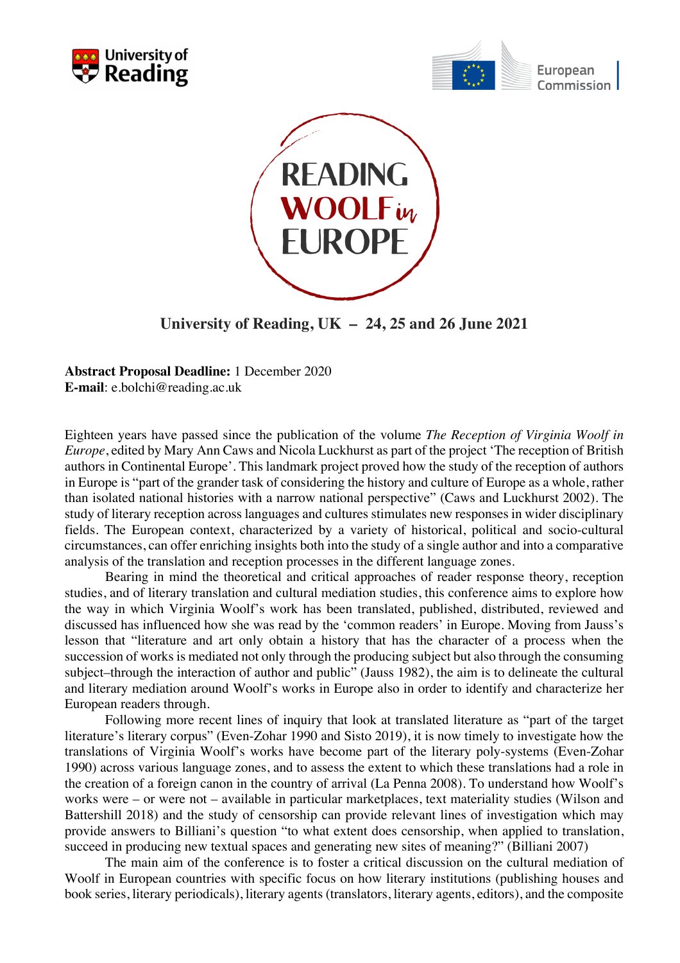





**University of Reading, UK – 24, 25 and 26 June 2021**

**Abstract Proposal Deadline:** 1 December 2020 **E-mail**: e.bolchi@reading.ac.uk

Eighteen years have passed since the publication of the volume *The Reception of Virginia Woolf in Europe*, edited by Mary Ann Caws and Nicola Luckhurst as part of the project 'The reception of British authors in Continental Europe'. This landmark project proved how the study of the reception of authors in Europe is "part of the grander task of considering the history and culture of Europe as a whole, rather than isolated national histories with a narrow national perspective" (Caws and Luckhurst 2002). The study of literary reception across languages and cultures stimulates new responses in wider disciplinary fields. The European context, characterized by a variety of historical, political and socio-cultural circumstances, can offer enriching insights both into the study of a single author and into a comparative analysis of the translation and reception processes in the different language zones.

Bearing in mind the theoretical and critical approaches of reader response theory, reception studies, and of literary translation and cultural mediation studies, this conference aims to explore how the way in which Virginia Woolf's work has been translated, published, distributed, reviewed and discussed has influenced how she was read by the 'common readers' in Europe. Moving from Jauss's lesson that "literature and art only obtain a history that has the character of a process when the succession of works is mediated not only through the producing subject but also through the consuming subject–through the interaction of author and public" (Jauss 1982), the aim is to delineate the cultural and literary mediation around Woolf's works in Europe also in order to identify and characterize her European readers through.

Following more recent lines of inquiry that look at translated literature as "part of the target literature's literary corpus" (Even-Zohar 1990 and Sisto 2019), it is now timely to investigate how the translations of Virginia Woolf's works have become part of the literary poly-systems (Even-Zohar 1990) across various language zones, and to assess the extent to which these translations had a role in the creation of a foreign canon in the country of arrival (La Penna 2008). To understand how Woolf's works were – or were not – available in particular marketplaces, text materiality studies (Wilson and Battershill 2018) and the study of censorship can provide relevant lines of investigation which may provide answers to Billiani's question "to what extent does censorship, when applied to translation, succeed in producing new textual spaces and generating new sites of meaning?" (Billiani 2007)

The main aim of the conference is to foster a critical discussion on the cultural mediation of Woolf in European countries with specific focus on how literary institutions (publishing houses and book series, literary periodicals), literary agents (translators, literary agents, editors), and the composite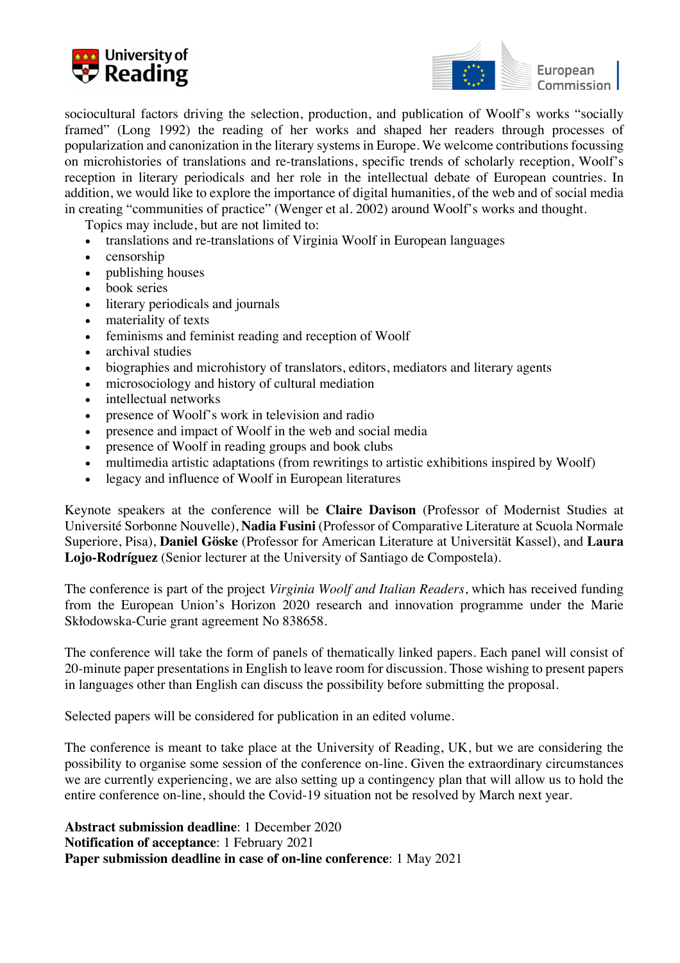



sociocultural factors driving the selection, production, and publication of Woolf's works "socially framed" (Long 1992) the reading of her works and shaped her readers through processes of popularization and canonization in the literary systems in Europe. We welcome contributions focussing on microhistories of translations and re-translations, specific trends of scholarly reception, Woolf's reception in literary periodicals and her role in the intellectual debate of European countries. In addition, we would like to explore the importance of digital humanities, of the web and of social media in creating "communities of practice" (Wenger et al. 2002) around Woolf's works and thought.

Topics may include, but are not limited to:

- translations and re-translations of Virginia Woolf in European languages
- censorship
- publishing houses
- book series
- literary periodicals and journals
- materiality of texts
- feminisms and feminist reading and reception of Woolf
- archival studies
- biographies and microhistory of translators, editors, mediators and literary agents
- microsociology and history of cultural mediation
- intellectual networks
- presence of Woolf's work in television and radio
- presence and impact of Woolf in the web and social media
- presence of Woolf in reading groups and book clubs
- multimedia artistic adaptations (from rewritings to artistic exhibitions inspired by Woolf)
- legacy and influence of Woolf in European literatures

Keynote speakers at the conference will be **Claire Davison** (Professor of Modernist Studies at Université Sorbonne Nouvelle), **Nadia Fusini** (Professor of Comparative Literature at Scuola Normale Superiore, Pisa), **Daniel Göske** (Professor for American Literature at Universität Kassel), and **Laura Lojo-Rodríguez** (Senior lecturer at the University of Santiago de Compostela).

The conference is part of the project *Virginia Woolf and Italian Readers*, which has received funding from the European Union's Horizon 2020 research and innovation programme under the Marie Skłodowska-Curie grant agreement No 838658.

The conference will take the form of panels of thematically linked papers. Each panel will consist of 20-minute paper presentations in English to leave room for discussion. Those wishing to present papers in languages other than English can discuss the possibility before submitting the proposal.

Selected papers will be considered for publication in an edited volume.

The conference is meant to take place at the University of Reading, UK, but we are considering the possibility to organise some session of the conference on-line. Given the extraordinary circumstances we are currently experiencing, we are also setting up a contingency plan that will allow us to hold the entire conference on-line, should the Covid-19 situation not be resolved by March next year.

**Abstract submission deadline**: 1 December 2020 **Notification of acceptance**: 1 February 2021 **Paper submission deadline in case of on-line conference**: 1 May 2021